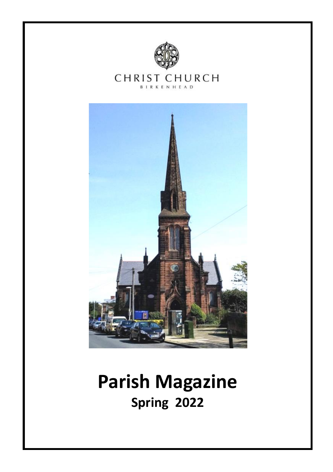

#### CHRIST CHURCH **BIRKENHEAD**



# **Parish Magazine Spring 2022**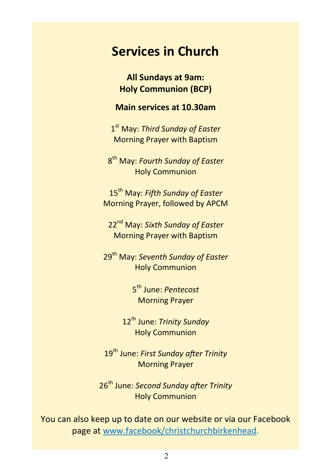### **Services in Church**

**All Sundays at 9am: Holy Communion (BCP)**

#### **Main services at 10.30am**

1 st May: *Third Sunday of Easter* Morning Prayer with Baptism

8 th May: *Fourth Sunday of Easter* Holy Communion

15<sup>th</sup> May: Fifth Sunday of Easter Morning Prayer, followed by APCM

22nd May: *Sixth Sunday of Easter* Morning Prayer with Baptism

29th May: *Seventh Sunday of Easter* Holy Communion

> 5 th June: *Pentecost* Morning Prayer

12th June: *Trinity Sunday* Holy Communion

19th June: *First Sunday after Trinity* Morning Prayer

26th June: *Second Sunday after Trinity* Holy Communion

You can also keep up to date on our website or via our Facebook page at [www.facebook/christchurchbirkenhead.](https://www.facebook.com/christchurchbirkenhead/)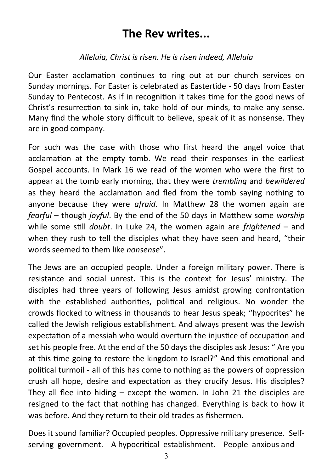### **The Rev writes...**

#### *Alleluia, Christ is risen. He is risen indeed, Alleluia*

Our Easter acclamation continues to ring out at our church services on Sunday mornings. For Easter is celebrated as Eastertide - 50 days from Easter Sunday to Pentecost. As if in recognition it takes time for the good news of Christ's resurrection to sink in, take hold of our minds, to make any sense. Many find the whole story difficult to believe, speak of it as nonsense. They are in good company.

For such was the case with those who first heard the angel voice that acclamation at the empty tomb. We read their responses in the earliest Gospel accounts. In Mark 16 we read of the women who were the first to appear at the tomb early morning, that they were *trembling* and *bewildered* as they heard the acclamation and fled from the tomb saying nothing to anyone because they were *afraid*. In Matthew 28 the women again are *fearful* – though *joyful*. By the end of the 50 days in Matthew some *worship* while some still *doubt*. In Luke 24, the women again are *frightened* – and when they rush to tell the disciples what they have seen and heard, "their words seemed to them like *nonsense*".

The Jews are an occupied people. Under a foreign military power. There is resistance and social unrest. This is the context for Jesus' ministry. The disciples had three years of following Jesus amidst growing confrontation with the established authorities, political and religious. No wonder the crowds flocked to witness in thousands to hear Jesus speak; "hypocrites" he called the Jewish religious establishment. And always present was the Jewish expectation of a messiah who would overturn the injustice of occupation and set his people free. At the end of the 50 days the disciples ask Jesus: " Are you at this time going to restore the kingdom to Israel?" And this emotional and political turmoil - all of this has come to nothing as the powers of oppression crush all hope, desire and expectation as they crucify Jesus. His disciples? They all flee into hiding – except the women. In John 21 the disciples are resigned to the fact that nothing has changed. Everything is back to how it was before. And they return to their old trades as fishermen.

Does it sound familiar? Occupied peoples. Oppressive military presence. Selfserving government. A hypocritical establishment. People anxious and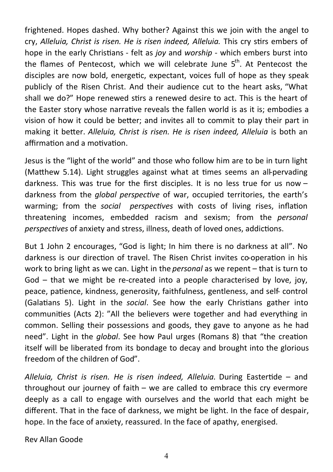frightened. Hopes dashed. Why bother? Against this we join with the angel to cry, *Alleluia, Christ is risen. He is risen indeed, Alleluia.* This cry stirs embers of hope in the early Christians - felt as *joy* and *worship* - which embers burst into the flames of Pentecost, which we will celebrate June  $5<sup>th</sup>$ . At Pentecost the disciples are now bold, energetic, expectant, voices full of hope as they speak publicly of the Risen Christ. And their audience cut to the heart asks, "What shall we do?" Hope renewed stirs a renewed desire to act. This is the heart of the Easter story whose narrative reveals the fallen world is as it is; embodies a vision of how it could be better; and invites all to commit to play their part in making it better. *Alleluia, Christ is risen. He is risen indeed, Alleluia* is both an affirmation and a motivation.

Jesus is the "light of the world" and those who follow him are to be in turn light (Matthew 5.14). Light struggles against what at times seems an all-pervading darkness. This was true for the first disciples. It is no less true for us now – darkness from the *global perspective* of war, occupied territories, the earth's warming; from the *social perspectives* with costs of living rises, inflation threatening incomes, embedded racism and sexism; from the *personal perspectives* of anxiety and stress, illness, death of loved ones, addictions.

But 1 John 2 encourages, "God is light; In him there is no darkness at all". No darkness is our direction of travel. The Risen Christ invites co-operation in his work to bring light as we can. Light in the *personal* as we repent – that is turn to God – that we might be re-created into a people characterised by love, joy, peace, patience, kindness, generosity, faithfulness, gentleness, and self- control (Galatians 5). Light in the *social*. See how the early Christians gather into communities (Acts 2): "All the believers were together and had everything in common. Selling their possessions and goods, they gave to anyone as he had need". Light in the *global*. See how Paul urges (Romans 8) that "the creation itself will be liberated from its bondage to decay and brought into the glorious freedom of the children of God".

*Alleluia, Christ is risen. He is risen indeed, Alleluia.* During Eastertide – and throughout our journey of faith – we are called to embrace this cry evermore deeply as a call to engage with ourselves and the world that each might be different. That in the face of darkness, we might be light. In the face of despair, hope. In the face of anxiety, reassured. In the face of apathy, energised.

Rev Allan Goode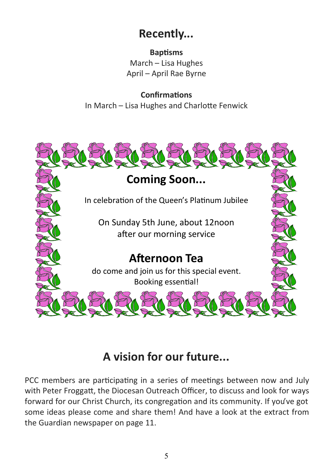## **Recently...**

**Baptisms** March – Lisa Hughes April – April Rae Byrne

**Confirmations** In March – Lisa Hughes and Charlotte Fenwick



# **A vision for our future...**

PCC members are participating in a series of meetings between now and July with Peter Froggatt, the Diocesan Outreach Officer, to discuss and look for ways forward for our Christ Church, its congregation and its community. If you've got some ideas please come and share them! And have a look at the extract from the Guardian newspaper on page 11.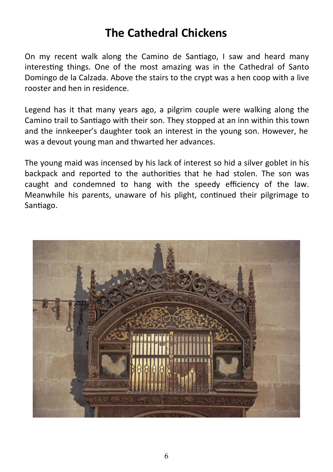# **The Cathedral Chickens**

On my recent walk along the Camino de Santiago, I saw and heard many interesting things. One of the most amazing was in the Cathedral of Santo Domingo de la Calzada. Above the stairs to the crypt was a hen coop with a live rooster and hen in residence.

Legend has it that many years ago, a pilgrim couple were walking along the Camino trail to Santiago with their son. They stopped at an inn within this town and the innkeeper's daughter took an interest in the young son. However, he was a devout young man and thwarted her advances.

The young maid was incensed by his lack of interest so hid a silver goblet in his backpack and reported to the authorities that he had stolen. The son was caught and condemned to hang with the speedy efficiency of the law. Meanwhile his parents, unaware of his plight, continued their pilgrimage to Santiago.

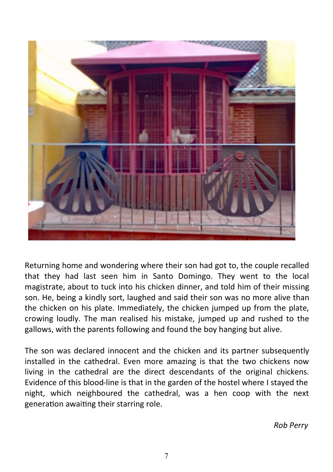

Returning home and wondering where their son had got to, the couple recalled that they had last seen him in Santo Domingo. They went to the local magistrate, about to tuck into his chicken dinner, and told him of their missing son. He, being a kindly sort, laughed and said their son was no more alive than the chicken on his plate. Immediately, the chicken jumped up from the plate, crowing loudly. The man realised his mistake, jumped up and rushed to the gallows, with the parents following and found the boy hanging but alive.

The son was declared innocent and the chicken and its partner subsequently installed in the cathedral. Even more amazing is that the two chickens now living in the cathedral are the direct descendants of the original chickens. Evidence of this blood-line is that in the garden of the hostel where I stayed the night, which neighboured the cathedral, was a hen coop with the next generation awaiting their starring role.

*Rob Perry*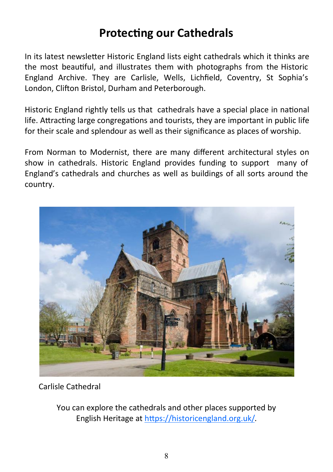### **Protecting our Cathedrals**

In its latest newsletter Historic England lists eight cathedrals which it thinks are the most beautiful, and illustrates them with photographs from the [Historic](https://historicengland.org.uk/images-books/archive/)  [England Archive.](https://historicengland.org.uk/images-books/archive/) They are Carlisle, Wells, Lichfield, Coventry, St Sophia's London, Clifton Bristol, Durham and Peterborough.

Historic England rightly tells us that cathedrals have a special place in national life. Attracting large congregations and tourists, they are important in public life for their scale and splendour as well as their significance as places of worship.

From Norman to Modernist, there are many different architectural styles on show in cathedrals. Historic England provides funding to support many of England's cathedrals and churches as well as buildings of all sorts around the country.



Carlisle Cathedral

You can explore the cathedrals and other places supported by English Heritage at [https://historicengland.org.uk/.](https://historicengland.org.uk/)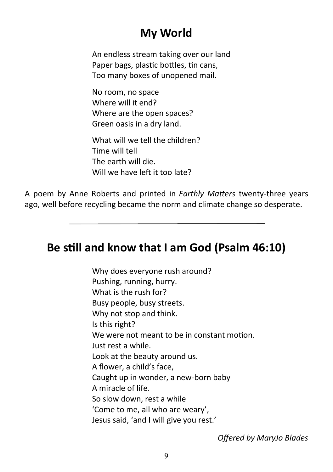# **My World**

An endless stream taking over our land Paper bags, plastic bottles, tin cans, Too many boxes of unopened mail.

No room, no space Where will it end? Where are the open spaces? Green oasis in a dry land.

What will we tell the children? Time will tell The earth will die. Will we have left it too late?

A poem by Anne Roberts and printed in *Earthly Matters* twenty-three years ago, well before recycling became the norm and climate change so desperate.

#### **Be still and know that I am God (Psalm 46:10)**

Why does everyone rush around? Pushing, running, hurry. What is the rush for? Busy people, busy streets. Why not stop and think. Is this right? We were not meant to be in constant motion. Just rest a while. Look at the beauty around us. A flower, a child's face, Caught up in wonder, a new-born baby A miracle of life. So slow down, rest a while 'Come to me, all who are weary', Jesus said, 'and I will give you rest.'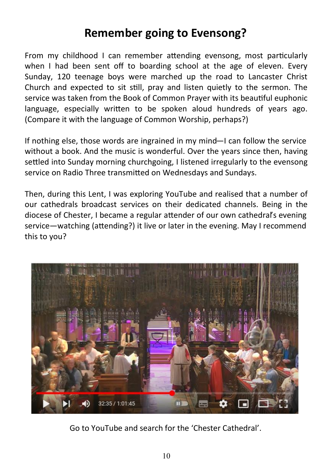# **Remember going to Evensong?**

From my childhood I can remember attending evensong, most particularly when I had been sent off to boarding school at the age of eleven. Every Sunday, 120 teenage boys were marched up the road to Lancaster Christ Church and expected to sit still, pray and listen quietly to the sermon. The service was taken from the Book of Common Prayer with its beautiful euphonic language, especially written to be spoken aloud hundreds of years ago. (Compare it with the language of Common Worship, perhaps?)

If nothing else, those words are ingrained in my mind—I can follow the service without a book. And the music is wonderful. Over the years since then, having settled into Sunday morning churchgoing, I listened irregularly to the evensong service on Radio Three transmitted on Wednesdays and Sundays.

Then, during this Lent, I was exploring YouTube and realised that a number of our cathedrals broadcast services on their dedicated channels. Being in the diocese of Chester, I became a regular attender of our own cathedral's evening service—watching (attending?) it live or later in the evening. May I recommend this to you?



Go to YouTube and search for the 'Chester Cathedral'.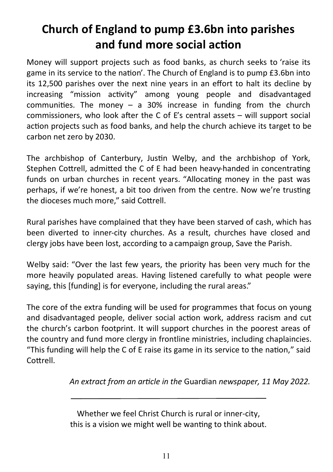# **Church of England to pump £3.6bn into parishes and fund more social action**

Money will support projects such as food banks, as church seeks to 'raise its game in its service to the nation'. The Church of England is to pump £3.6bn into its 12,500 parishes over the next nine years in an effort to halt its decline by increasing "mission activity" among young people and disadvantaged communities. The money  $-$  a 30% increase in funding from the church commissioners, who look after the C of E's central assets – will support social action projects such as food banks, and help the church achieve its target to be carbon net zero by 2030.

The archbishop of Canterbury, [Justin Welby,](https://www.theguardian.com/uk/justin-welby) and the archbishop of York, Stephen Cottrell, admitted the C of E had been heavy-handed in concentrating funds on urban churches in recent years. "Allocating money in the past was perhaps, if we're honest, a bit too driven from the centre. Now we're trusting the dioceses much more," said Cottrell.

Rural parishes have complained that they have been starved of cash, which has been diverted to inner-city churches. As a result, churches have closed and clergy jobs have been lost, according to a [campaign group, Save the Parish.](https://www.theguardian.com/world/2021/aug/06/church-of-england-traditionalists-launch-fight-against-worship-in-takeaway-cinema-or-barn)

Welby said: "Over the last few years, the priority has been very much for the more heavily populated areas. Having listened carefully to what people were saying, this [funding] is for everyone, including the rural areas."

The core of the extra funding will be used for programmes that focus on young and disadvantaged people, deliver social action work, address racism and cut the church's carbon footprint. It will support churches in the poorest areas of the country and fund more clergy in frontline ministries, including chaplaincies. "This funding will help the C of E raise its game in its service to the nation," said Cottrell.

*An extract from an article in the* Guardian *newspaper, 11 May 2022.*

Whether we feel Christ Church is rural or inner-city, this is a vision we might well be wanting to think about.